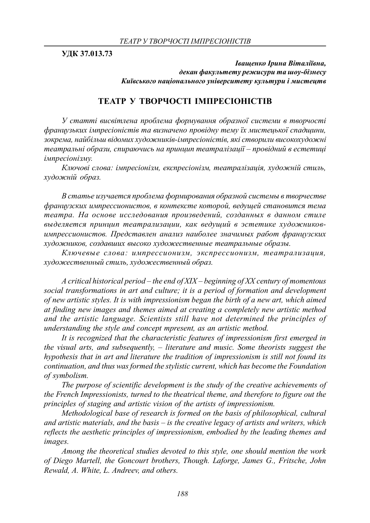**УДК 37.013.73**

*Іващенко Ірина Віталіївна, декан факультету режисури та шоу-бізнесу Київського національного університету культури і мистецтв*

## **ТЕАТР У ТВОРЧОСТІ ІМПРЕСІОНІСТІВ**

*У статті висвітлена проблема формування образної системи в творчості французьких імпресіоністів та визначено провідну тему їх мистецької спадщини, зокрема, найбільш відомих художників-імпресіоністів, які створили високохудожні театральні образи, спираючись на принцип театралізації – провідний в естетиці імпресіонізму.*

*Ключові слова: імпресіонізм, експресіонізм, театралізація, художній стиль, художній образ.*

*В статье изучается проблема формирования образной системы в творчестве французских импрессионистов, в контексте которой, ведущей становится тема театра. На основе исследования произведений, созданных в данном стиле выделяется принцип театрализации, как ведущий в эстетике художниковимпрессионистов. Представлен анализ наиболее значимых работ французских художников, создавших высоко художественные театральные образы.*

*Ключевые слова: импрессионизм, экспрессионизм, театрализация, художественный стиль, художественный образ.*

*A critical historical period – the end of XIX – beginning of XX century of momentous social transformations in art and culture; it is a period of formation and development of new artistic styles. It is with impressionism began the birth of a new art, which aimed at finding new images and themes aimed at creating a completely new artistic method and the artistic language. Scientists still have not determined the principles of understanding the style and concept mpresent, as an artistic method.*

*It is recognized that the characteristic features of impressionism first emerged in the visual arts, and subsequently, – literature and music. Some theorists suggest the hypothesis that in art and literature the tradition of impressionism is still not found its continuation, and thus was formed the stylistic current, which has become the Foundation of symbolism.*

*The purpose of scientific development is the study of the creative achievements of the French Impressionists, turned to the theatrical theme, and therefore to figure out the principles of staging and artistic vision of the artists of impressionism.*

*Methodological base of research is formed on the basis of philosophical, cultural and artistic materials, and the basis – is the creative legacy of artists and writers, which reflects the aesthetic principles of impressionism, embodied by the leading themes and images.*

*Among the theoretical studies devoted to this style, one should mention the work of Diego Martell, the Goncourt brothers, Though. Laforge, James G., Fritsche, John Rewald, A. White, L. Andreev, and others.*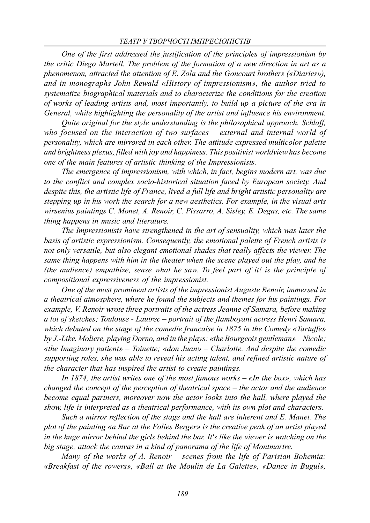*One of the first addressed the justification of the principles of impressionism by the critic Diego Martell. The problem of the formation of a new direction in art as a phenomenon, attracted the attention of E. Zola and the Goncourt brothers («Diaries»), and in monographs John Rewald «History of impressionism», the author tried to systematize biographical materials and to characterize the conditions for the creation of works of leading artists and, most importantly, to build up a picture of the era in General, while highlighting the personality of the artist and influence his environment.*

*Quite original for the style understanding is the philosophical approach. Schlaff, who focused on the interaction of two surfaces – external and internal world of personality, which are mirrored in each other. The attitude expressed multicolor palette and brightness plexus, filled with joy and happiness. This positivist worldview has become one of the main features of artistic thinking of the Impressionists.*

*The emergence of impressionism, with which, in fact, begins modern art, was due to the conflict and complex socio-historical situation faced by European society. And despite this, the artistic life of France, lived a full life and bright artistic personality are stepping up in his work the search for a new aesthetics. For example, in the visual arts wirsenius paintings C. Monet, A. Renoir, C. Pissarro, A. Sisley, E. Degas, etc. The same thing happens in music and literature.*

*The Impressionists have strengthened in the art of sensuality, which was later the basis of artistic expressionism. Consequently, the emotional palette of French artists is not only versatile, but also elegant emotional shades that really affects the viewer. The same thing happens with him in the theater when the scene played out the play, and he (the audience) empathize, sense what he saw. To feel part of it! is the principle of compositional expressiveness of the impressionist.*

*One of the most prominent artists of the impressionist Auguste Renoir, immersed in a theatrical atmosphere, where he found the subjects and themes for his paintings. For example, V. Renoir wrote three portraits of the actress Jeanne of Samara, before making a lot of sketches; Toulouse - Lautrec – portrait of the flamboyant actress Henri Samara, which debuted on the stage of the comedie francaise in 1875 in the Comedy «Tartuffe» by J.-Like. Moliere, playing Dorno, and in the plays: «the Bourgeois gentleman» – Nicole; «the Imaginary patient» – Toinette; «don Juan» – Charlotte. And despite the comedic supporting roles, she was able to reveal his acting talent, and refined artistic nature of the character that has inspired the artist to create paintings.*

*In 1874, the artist writes one of the most famous works – «In the box», which has changed the concept of the perception of theatrical space – the actor and the audience become equal partners, moreover now the actor looks into the hall, where played the show, life is interpreted as a theatrical performance, with its own plot and characters.*

*Such a mirror reflection of the stage and the hall are inherent and E. Manet. The plot of the painting «a Bar at the Folies Berger» is the creative peak of an artist played in the huge mirror behind the girls behind the bar. It's like the viewer is watching on the big stage, attack the canvas in a kind of panorama of the life of Montmartre.*

*Many of the works of A. Renoir – scenes from the life of Parisian Bohemia: «Breakfast of the rowers», «Ball at the Moulin de La Galette», «Dance in Bugul»,*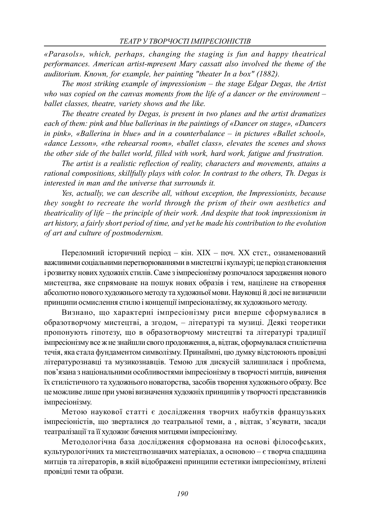*«Parasols», which, perhaps, changing the staging is fun and happy theatrical performances. American artist-mpresent Mary cassatt also involved the theme of the auditorium. Known, for example, her painting "theater In a box" (1882).*

*The most striking example of impressionism – the stage Edgar Degas, the Artist who was copied on the canvas moments from the life of a dancer or the environment – ballet classes, theatre, variety shows and the like.*

*The theatre created by Degas, is present in two planes and the artist dramatizes each of them: pink and blue ballerinas in the paintings of «Dancer on stage», «Dancers in pink», «Ballerina in blue» and in a counterbalance – in pictures «Ballet school», «dance Lesson», «the rehearsal room», «ballet class», elevates the scenes and shows the other side of the ballet world, filled with work, hard work, fatigue and frustration.*

*The artist is a realistic reflection of reality, characters and movements, attains a rational compositions, skillfully plays with color. In contrast to the others, Th. Degas is interested in man and the universe that surrounds it.*

*Yes, actually, we can describe all, without exception, the Impressionists, because they sought to recreate the world through the prism of their own aesthetics and theatricality of life – the principle of their work. And despite that took impressionism in art history, a fairly short period of time, and yet he made his contribution to the evolution of art and culture of postmodernism.*

Переломний історичний період – кін. ХІХ – поч. ХХ стст., ознаменований важливими соціальними перетворюваннями в мистецтві і культурі; це період становлення і розвитку нових художніх стилів. Саме з імпресіонізму розпочалося зародження нового мистецтва, яке спрямоване на пошук нових образів і тем, націлене на створення абсолютно нового художнього методу та художньої мови. Науковці й досі не визначили принципи осмислення стилю і концепції імпресіоналізму, як художнього методу.

Визнано, що характерні імпресіонізму риси вперше сформувалися в образотворчому мистецтві, а згодом, – літературі та музиці. Деякі теоретики пропонують гіпотезу, що в образотворчому мистецтві та літературі традиції імпресіонізму все ж не знайшли свого продовження, а, відтак, сформувалася стилістична течія, яка стала фундаментом символізму. Принаймні, цю думку відстоюють провідні літературознавці та музикознавців. Темою для дискусій залишилася і проблема, пов'язана з національними особливостями імпресіонізму в творчості митців, вивчення їх стилістичного та художнього новаторства, засобів творення художнього образу. Все це можливе лише при умові визначення художніх принципів у творчості представників імпресіонізму.

Метою наукової статті є дослідження творчих набутків французьких імпресіоністів, що зверталися до театральної теми, а , відтак, з'ясувати, засади театралізації та її художнє бачення митцями імпресіонізму.

Методологічна база дослідження сформована на основі філософських, культурологічних та мистецтвознавчих матеріалах, а основою – є творча спадщина митців та літераторів, в якій відображені принципи естетики імпресіонізму, втілені провідні теми та образи.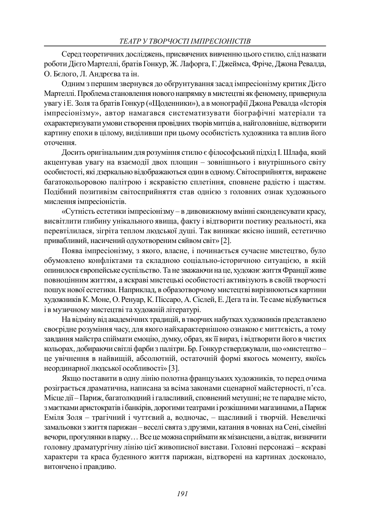Серед теоретичних досліджень, присвячених вивченню цього стилю, слід назвати роботи Дієго Мартеллі, братів Гонкур, Ж. Лафорга, Г. Джеймса, Фріче, Джона Ревалда, О. Бєлого, Л. Андрєєва та ін.

Одним з першим звернувся до обґрунтування засад імпресіонізму критик Дієго Мартеллі. Проблема становлення нового напрямку в мистецтві як феномену, привернула увагу і Е. Золя та братів Гонкур («Щоденники»), а в монографії Джона Ревалда «Історія імпресіонізму», автор намагався систематизувати біографічні матеріали та охарактеризувати умови створення провідних творів митців а, найголовніше, відтворити картину епохи в цілому, виділивши при цьому особистість художника та вплив його оточення.

Досить оригінальним для розуміння стилю є філософський підхід І. Шлафа, який акцентував увагу на взаємодії двох площин – зовнішнього і внутрішнього світу особистості, які дзеркально відображаються один в одному. Світосприйняття, виражене багатокольоровою палітрою і яскравістю сплетіння, сповнене радістю і щастям. Подібний позитивізм світосприйняття став однією з головних ознак художнього мислення імпресіоністів.

«Сутність естетики імпресіонізму – в дивовижному вмінні сконденсувати красу, висвітлити глибину унікального явища, факту і відтворити поетику реальності, яка перевтілилася, зігріта теплом людської душі. Так виникає якісно інший, естетично привабливий, насичений одухотвореним сяйвом світ» [2].

Поява імпресіонізму, з якого, власне, і починається сучасне мистецтво, було обумовлено конфліктами та складною соціально-історичною ситуацією, в якій опинилося європейське суспільство. Та не зважаючи на це, художнє життя Франції живе повноцінним життям, а яскраві мистецькі особистості активізують в своїй творчості пошук нової естетики. Наприклад, в образотворчому мистецтві вирізнюються картини художників К. Моне, О. Ренуар, К. Піссаро, А. Сіслей, Е. Дега та ін. Те саме відбувається і в музичному мистецтві та художній літературі.

На відміну від академічних традицій, в творчих набутках художників представлено своєрідне розуміння часу, для якого найхарактернішою ознакою є миттєвість, а тому завдання майстра спіймати емоцію, думку, образ, як її вираз, і відтворити його в чистих кольорах, добираючи світлі фарби з палітри. Бр. Гонкур стверджували, що «мистецтво – це увічнення в найвищій, абсолютній, остаточній формі якогось моменту, якоїсь неординарної людської особливості» [3].

Якщо поставити в одну лінію полотна французьких художників, то перед очима розіграється драматична, написана за всіма законами сценарної майстерності, п'єса. Місце дії – Париж, багатолюдний і галасливий, сповнений метушні; не те парадне місто, з маєтками аристократів і банкірів, дорогими театрами і розкішними магазинами, а Париж Еміля Золя – трагічний і чуттєвий а, водночас, – щасливий і творчій. Невеличкі замальовки з життя парижан – веселі свята з друзями, катання в човнах на Сені, сімейні вечори, прогулянки в парку… Все це можна сприймати як мізансцени, а відтак, визначити головну драматургічну лінію цієї живописної вистави. Головні персонажі – яскраві характери та краса буденного життя парижан, відтворені на картинах досконало, витончено і правдиво.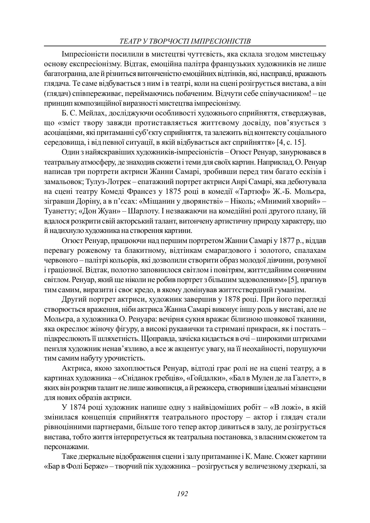Імпресіоністи посилили в мистецтві чуттєвість, яка склала згодом мистецьку основу експресіонізму. Відтак, емоційна палітра французьких художників не лише багатогранна, але й різниться витонченістю емоційних відтінків, які, насправді, вражають глядача. Те саме відбувається з ним і в театрі, коли на сцені розігрується вистава, а він (глядач) співпереживає, переймаючись побаченим. Відчути себе співучасником! – це принцип композиційної виразності мистецтва імпресіонізму.

Б. С. Мейлах, досліджуючи особливості художнього сприйняття, стверджував, що «зміст твору завжди протиставляється життєвому досвіду, пов'язується з асоціаціями, які притаманні суб'єкту сприйняття, та залежить від контексту соціального середовища, і від певної ситуації, в якій відбувається акт сприйняття» [4, с. 15].

Один з найяскравіших художників-імпресіоністів – Огюст Ренуар, занурювався в театральну атмосферу, де знаходив сюжети і теми для своїх картин. Наприклад, О. Ренуар написав три портрети актриси Жанни Самарі, зробивши перед тим багато ескізів і замальовок; Тулуз-Лотрек – епатажний портрет актриси Анрі Самарі, яка дебютувала на сцені театру Комеді Франсез у 1875 році в комедії «Тартюф» Ж.-Б. Мольєра, зігравши Доріну, а в п'єсах: «Міщанин у дворянстві» – Ніколь; «Мнимий хворий» – Туанетту; «Дон Жуан» – Шарлоту. І незважаючи на комедійні ролі другого плану, їй вдалося розкрити свій акторський талант, витончену артистичну природу характеру, що й надихнуло художника на створення картини.

Огюст Ренуар, працюючи над першим портретом Жанни Самарі у 1877 р., віддав перевагу рожевому та блакитному, відтінкам смарагдового і золотого, спалахам червоного – палітрі кольорів, які дозволили створити образ молодої дівчини, розумної і граціозної. Відтак, полотно заповнилося світлом і повітрям, життєдайним сонячним світлом. Ренуар, який ще ніколи не робив портрет з більшим задоволенням» [5], прагнув тим самим, виразити і своє кредо, в якому домінував життєствердний гуманізм.

Другий портрет актриси, художник завершив у 1878 році. При його перегляді створюється враження, ніби актриса Жанна Самарі виконує іншу роль у виставі, але не Мольєра, а художника О. Ренуара: вечірня сукня вражає білизною шовкової тканини, яка окреслює жіночу фігуру, а високі рукавички та стримані прикраси, як і постать – підкреслюють її шляхетність. Щоправда, зачіска кидається в очі – широкими штрихами пензля художник ненав'язливо, а все ж акцентує увагу, на її неохайності, порушуючи тим самим набуту урочистість.

Актриса, якою захоплюється Ренуар, відтоді грає ролі не на сцені театру, а в картинах художника – «Сніданок гребців», «Гойдалки», «Бал в Мулен де ла Галетт», в яких він розкрив талант не лише живописця, а й режисера, створивши ідеальні мізансцени для нових образів актриси.

У 1874 році художник напише одну з найвідоміших робіт – «В ложі», в якій змінилася концепція сприйняття театрального простору – актор і глядач стали рівноцінними партнерами, більше того тепер актор дивиться в залу, де розігрується вистава, тобто життя інтерпретується як театральна постановка, з власним сюжетом та персонажами.

Таке дзеркальне відображення сцени і залу притаманне і К. Мане. Сюжет картини «Бар в Фолі Берже» – творчий пік художника – розігрується у величезному дзеркалі, за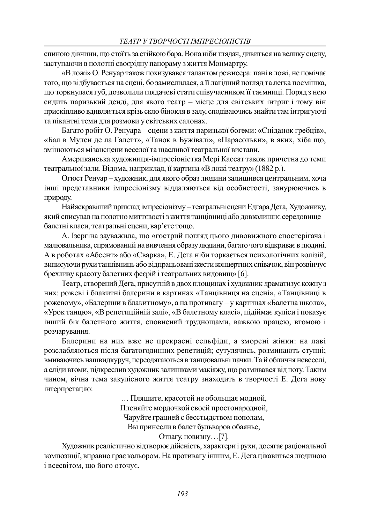спиною дівчини, що стоїть за стійкою бара. Вона ніби глядач, дивиться на велику сцену, заступаючи в полотні своєрідну панораму з життя Монмартру.

«В ложі» О. Ренуар також похизувався талантом режисера: пані в ложі, не помічає того, що відбувається на сцені, бо замислилася, а її лагідний погляд та легка посмішка, що торкнулася губ, дозволили глядачеві стати співучасником її таємниці. Поряд з нею сидить паризький денді, для якого театр – місце для світських інтриг і тому він прискіпливо вдивляється крізь скло бінокля в залу, сподіваючись знайти там інтригуючі та пікантні теми для розмови у світських салонах.

Багато робіт О. Ренуара – сцени з життя паризької богеми: «Сніданок гребців», «Бал в Мулен де ла Галетт», «Танок в Бужівалі», «Парасольки», в яких, хіба що, змінюються мізансцени веселої та щасливої театральної вистави.

Американська художниця-імпресіоністка Мері Кассат також причетна до теми театральної зали. Відома, наприклад, її картина «В ложі театру» (1882 р.).

Огюст Ренуар – художник, для якого образ людини залишився центральним, хоча інші представники імпресіонізму віддаляються від особистості, занурюючись в природу.

Найяскравіший приклад імпресіонізму – театральні сцени Едгара Дега, Художнику, який списував на полотно миттєвості з життя танцівниці або довколишнє середовище – балетні класи, театральні сцени, вар'єте тощо.

А. Ізергіна зауважила, що «гострий погляд цього дивовижного спостерігача і малювальника, спрямований на вивчення образу людини, багато чого відкриває в людині. А в роботах «Абсент» або «Сварка», Е. Дега ніби торкається психологічних колізій, виписуючи рухи танцівниць або відпрацьовані жести концертних співачок, він розвінчує брехливу красоту балетних феєрій і театральних видовищ» [6].

Театр, створений Дега, присутній в двох площинах і художник драматизує кожну з них: рожеві і блакитні балерини в картинах «Танцівниця на сцені», «Танцівниці в рожевому», «Балерини в блакитному», а на противагу – у картинах «Балетна школа», «Урок танцю», «В репетиційній залі», «В балетному класі», підіймає куліси і показує інший бік балетного життя, сповнений труднощами, важкою працею, втомою і розчарування.

Балерини на них вже не прекрасні сельфіди, а зморені жінки: на лаві розслабляються після багатогодинних репетицій; сутулячись, розминають ступні; вмиваючись нашвидкуруч, переодягаються в танцювальні пачки. Та й обличчя невеселі, а сліди втоми, підкреслив художник залишками макіяжу, що розмивався від поту. Таким чином, вічна тема закулісного життя театру знаходить в творчості Е. Дега нову інтерпретацію:

… Пляшите, красотой не обольщая модной,

Пленяйте мордочкой своей простонародной,

Чаруйте грацией с бесстыдством пополам,

Вы принесли в балет бульваров обаянье,

## Отвагу, новизну…[7].

Художник реалістично відтворює дійсність, характери і рухи, досягає раціональної композиції, вправно грає кольором. На противагу іншим, Е. Дега цікавиться людиною і всесвітом, що його оточує.